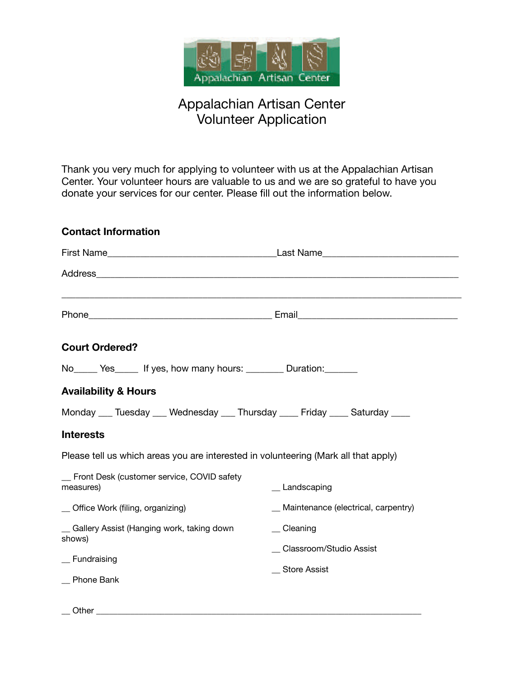

## Appalachian Artisan Center Volunteer Application

Thank you very much for applying to volunteer with us at the Appalachian Artisan Center. Your volunteer hours are valuable to us and we are so grateful to have you donate your services for our center. Please fill out the information below.

| <b>Contact Information</b>                                                          |                                       |
|-------------------------------------------------------------------------------------|---------------------------------------|
|                                                                                     |                                       |
|                                                                                     |                                       |
|                                                                                     |                                       |
| <b>Court Ordered?</b>                                                               |                                       |
|                                                                                     |                                       |
| <b>Availability &amp; Hours</b>                                                     |                                       |
| Monday ___ Tuesday ___ Wednesday ___ Thursday ____ Friday ____ Saturday ____        |                                       |
| <b>Interests</b>                                                                    |                                       |
| Please tell us which areas you are interested in volunteering (Mark all that apply) |                                       |
| _ Front Desk (customer service, COVID safety<br>measures)                           | _ Landscaping                         |
| _ Office Work (filing, organizing)                                                  | _ Maintenance (electrical, carpentry) |
| _ Gallery Assist (Hanging work, taking down<br>shows)                               | $\equiv$ Cleaning                     |
| _ Fundraising                                                                       | _ Classroom/Studio Assist             |
| _ Phone Bank                                                                        | _ Store Assist                        |
|                                                                                     |                                       |

 $\_\_$  Other  $\_\_$